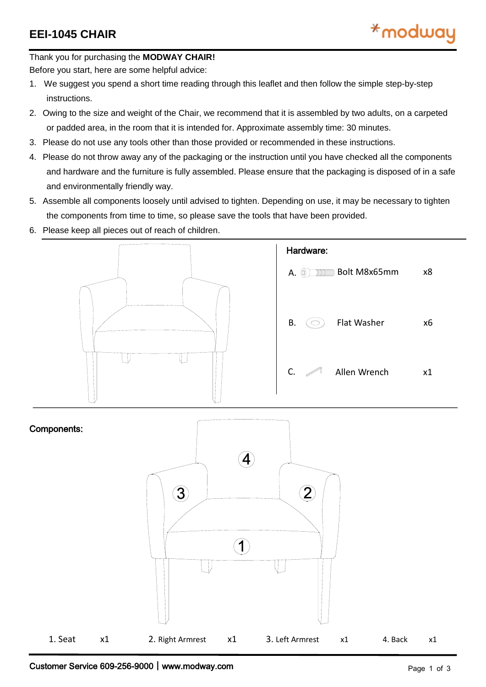Thank you for purchasing the **MODWAY CHAIR!**

Before you start, here are some helpful advice:

- 1. We suggest you spend a short time reading through this leaflet and then follow the simple step-by-step instructions.
- 2. Owing to the size and weight of the Chair, we recommend that it is assembled by two adults, on a carpeted or padded area, in the room that it is intended for. Approximate assembly time: 30 minutes.
- 3. Please do not use any tools other than those provided or recommended in these instructions.
- 4. Please do not throw away any of the packaging or the instruction until you have checked all the components and hardware and the furniture is fully assembled. Please ensure that the packaging is disposed of in a safe and environmentally friendly way.
- 5. Assemble all components loosely until advised to tighten. Depending on use, it may be necessary to tighten the components from time to time, so please save the tools that have been provided.
- 6. Please keep all pieces out of reach of children.



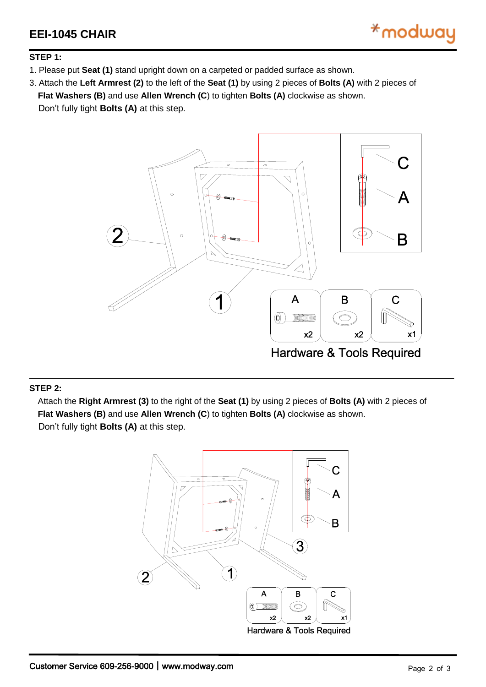

## **STEP 1:**

1. Please put **Seat (1)** stand upright down on a carpeted or padded surface as shown.

3. Attach the **Left Armrest (2)** to the left of the **Seat (1)** by using 2 pieces of **Bolts (A)** with 2 pieces of **Flat Washers (B)** and use **Allen Wrench (C**) to tighten **Bolts (A)** clockwise as shown. Don't fully tight **Bolts (A)** at this step.

> $\circ$ ワ Β  $\diagup$  $\overline{A}$ B C  $\circledcirc$ **TIME THE TELEVISION**  $\bigcirc$  $x2$  $x2$  $x1$ **Hardware & Tools Required**

## **STEP 2:**

 Attach the **Right Armrest (3)** to the right of the **Seat (1)** by using 2 pieces of **Bolts (A)** with 2 pieces of **Flat Washers (B)** and use **Allen Wrench (C**) to tighten **Bolts (A)** clockwise as shown. Don't fully tight **Bolts (A)** at this step.